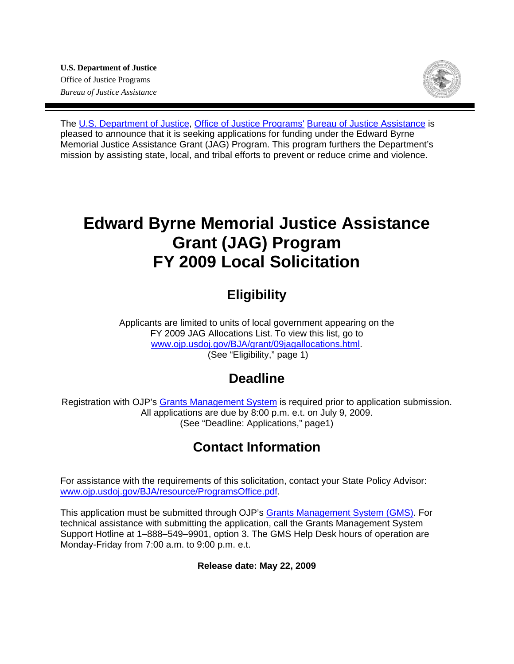

The [U.S. Department of Justice,](http://www.usdoj.gov/) [Office of Justice Programs'](http://www.ojp.usdoj.gov/) [Bureau of Justice Assistance](http://www.ojp.usdoj.gov/BJA/) is pleased to announce that it is seeking applications for funding under the Edward Byrne Memorial Justice Assistance Grant (JAG) Program. This program furthers the Department's mission by assisting state, local, and tribal efforts to prevent or reduce crime and violence.

# **Edward Byrne Memorial Justice Assistance Grant (JAG) Program FY 2009 Local Solicitation**

# **Eligibility**

Applicants are limited to units of local government appearing on the FY 2009 JAG Allocations List. To view this list, go to [www.ojp.usdoj.gov/BJA/grant/09jagallocations.html.](http://www.ojp.usdoj.gov/BJA/grant/09jagallocations.html) (See "Eligibility," page 1)

# **Deadline**

Registration with OJP's [Grants Management System](https://grants.ojp.usdoj.gov/) is required prior to application submission. All applications are due by 8:00 p.m. e.t. on July 9, 2009. (See "Deadline: Applications," page1)

# **Contact Information**

For assistance with the requirements of this solicitation, contact your State Policy Advisor: [www.ojp.usdoj.gov/BJA/resource/ProgramsOffice.pdf.](http://www.ojp.usdoj.gov/BJA/resource/ProgramsOffice.pdf)

This application must be submitted through OJP's [Grants Management System \(GMS\).](https://grants.ojp.usdoj.gov/) For technical assistance with submitting the application, call the Grants Management System Support Hotline at 1–888–549–9901, option 3. The GMS Help Desk hours of operation are Monday-Friday from 7:00 a.m. to 9:00 p.m. e.t.

### **Release date: May 22, 2009**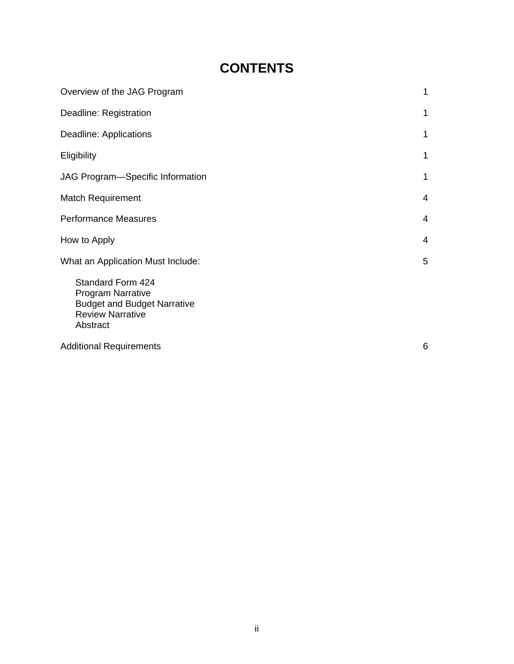# **CONTENTS**

| Overview of the JAG Program                                                                                                | 1 |
|----------------------------------------------------------------------------------------------------------------------------|---|
| Deadline: Registration                                                                                                     | 1 |
| Deadline: Applications                                                                                                     | 1 |
| Eligibility                                                                                                                | 1 |
| JAG Program-Specific Information                                                                                           | 1 |
| <b>Match Requirement</b>                                                                                                   | 4 |
| <b>Performance Measures</b>                                                                                                | 4 |
| How to Apply                                                                                                               | 4 |
| What an Application Must Include:                                                                                          | 5 |
| Standard Form 424<br><b>Program Narrative</b><br><b>Budget and Budget Narrative</b><br><b>Review Narrative</b><br>Abstract |   |
| <b>Additional Requirements</b>                                                                                             | 6 |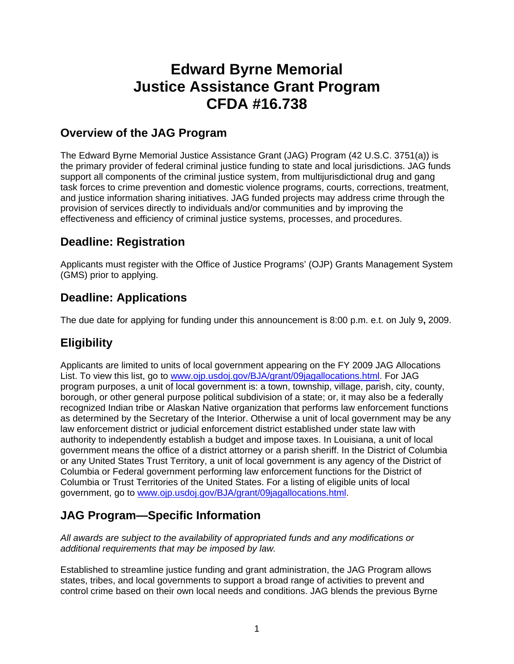# **Edward Byrne Memorial Justice Assistance Grant Program CFDA #16.738**

## **Overview of the JAG Program**

The Edward Byrne Memorial Justice Assistance Grant (JAG) Program (42 U.S.C. 3751(a)) is the primary provider of federal criminal justice funding to state and local jurisdictions. JAG funds support all components of the criminal justice system, from multijurisdictional drug and gang task forces to crime prevention and domestic violence programs, courts, corrections, treatment, and justice information sharing initiatives. JAG funded projects may address crime through the provision of services directly to individuals and/or communities and by improving the effectiveness and efficiency of criminal justice systems, processes, and procedures.

## **Deadline: Registration**

Applicants must register with the Office of Justice Programs' (OJP) Grants Management System (GMS) prior to applying.

## **Deadline: Applications**

The due date for applying for funding under this announcement is 8:00 p.m. e.t. on July 9**,** 2009.

## **Eligibility**

Applicants are limited to units of local government appearing on the FY 2009 JAG Allocations List. To view this list, go to [www.ojp.usdoj.gov/BJA/grant/09jagallocations.html](http://www.ojp.usdoj.gov/BJA/grant/09jagallocations.html). For JAG program purposes, a unit of local government is: a town, township, village, parish, city, county, borough, or other general purpose political subdivision of a state; or, it may also be a federally recognized Indian tribe or Alaskan Native organization that performs law enforcement functions as determined by the Secretary of the Interior. Otherwise a unit of local government may be any law enforcement district or judicial enforcement district established under state law with authority to independently establish a budget and impose taxes. In Louisiana, a unit of local government means the office of a district attorney or a parish sheriff. In the District of Columbia or any United States Trust Territory, a unit of local government is any agency of the District of Columbia or Federal government performing law enforcement functions for the District of Columbia or Trust Territories of the United States. For a listing of eligible units of local government, go to [www.ojp.usdoj.gov/BJA/grant/09jagallocations.html.](http://www.ojp.usdoj.gov/BJA/grant/09jagallocations.html)

## **JAG Program—Specific Information**

*All awards are subject to the availability of appropriated funds and any modifications or additional requirements that may be imposed by law.* 

Established to streamline justice funding and grant administration, the JAG Program allows states, tribes, and local governments to support a broad range of activities to prevent and control crime based on their own local needs and conditions. JAG blends the previous Byrne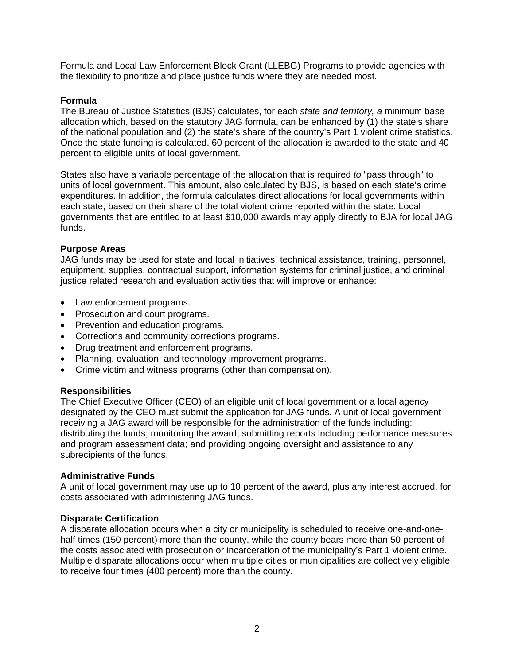Formula and Local Law Enforcement Block Grant (LLEBG) Programs to provide agencies with the flexibility to prioritize and place justice funds where they are needed most.

#### **Formula**

The Bureau of Justice Statistics (BJS) calculates, for each *state and territory, a* minimum base allocation which, based on the statutory JAG formula, can be enhanced by (1) the state's share of the national population and (2) the state's share of the country's Part 1 violent crime statistics. Once the state funding is calculated, 60 percent of the allocation is awarded to the state and 40 percent to eligible units of local government.

States also have a variable percentage of the allocation that is required *to* "pass through" to units of local government. This amount, also calculated by BJS, is based on each state's crime expenditures. In addition, the formula calculates direct allocations for local governments within each state, based on their share of the total violent crime reported within the state. Local governments that are entitled to at least \$10,000 awards may apply directly to BJA for local JAG funds.

#### **Purpose Areas**

JAG funds may be used for state and local initiatives, technical assistance, training, personnel, equipment, supplies, contractual support, information systems for criminal justice, and criminal justice related research and evaluation activities that will improve or enhance:

- Law enforcement programs.
- Prosecution and court programs.
- Prevention and education programs.
- Corrections and community corrections programs.
- Drug treatment and enforcement programs.
- Planning, evaluation, and technology improvement programs.
- Crime victim and witness programs (other than compensation).

#### **Responsibilities**

The Chief Executive Officer (CEO) of an eligible unit of local government or a local agency designated by the CEO must submit the application for JAG funds. A unit of local government receiving a JAG award will be responsible for the administration of the funds including: distributing the funds; monitoring the award; submitting reports including performance measures and program assessment data; and providing ongoing oversight and assistance to any subrecipients of the funds.

#### **Administrative Funds**

A unit of local government may use up to 10 percent of the award, plus any interest accrued, for costs associated with administering JAG funds.

#### **Disparate Certification**

A disparate allocation occurs when a city or municipality is scheduled to receive one-and-onehalf times (150 percent) more than the county, while the county bears more than 50 percent of the costs associated with prosecution or incarceration of the municipality's Part 1 violent crime. Multiple disparate allocations occur when multiple cities or municipalities are collectively eligible to receive four times (400 percent) more than the county.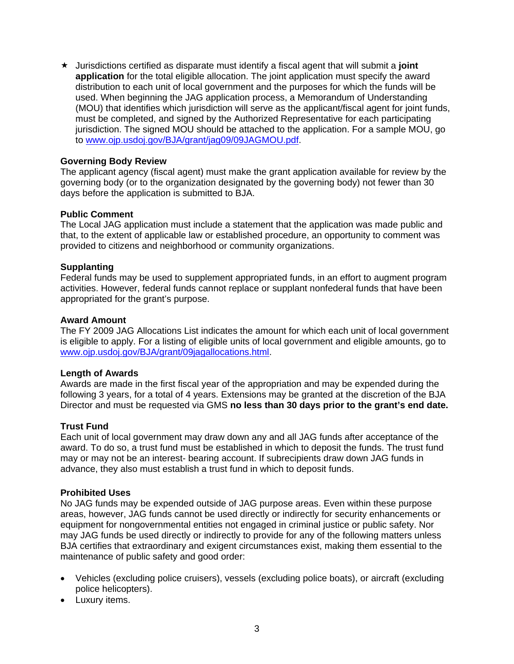Jurisdictions certified as disparate must identify a fiscal agent that will submit a **joint application** for the total eligible allocation. The joint application must specify the award distribution to each unit of local government and the purposes for which the funds will be used. When beginning the JAG application process, a Memorandum of Understanding (MOU) that identifies which jurisdiction will serve as the applicant/fiscal agent for joint funds, must be completed, and signed by the Authorized Representative for each participating jurisdiction. The signed MOU should be attached to the application. For a sample MOU, go to [www.ojp.usdoj.gov/BJA/grant/jag09/09JAGMOU.pdf.](http://www.ojp.usdoj.gov/BJA/grant/jag09/09JAGMOU.pdf)

#### **Governing Body Review**

The applicant agency (fiscal agent) must make the grant application available for review by the governing body (or to the organization designated by the governing body) not fewer than 30 days before the application is submitted to BJA.

#### **Public Comment**

The Local JAG application must include a statement that the application was made public and that, to the extent of applicable law or established procedure, an opportunity to comment was provided to citizens and neighborhood or community organizations.

#### **Supplanting**

Federal funds may be used to supplement appropriated funds, in an effort to augment program activities. However, federal funds cannot replace or supplant nonfederal funds that have been appropriated for the grant's purpose.

#### **Award Amount**

The FY 2009 JAG Allocations List indicates the amount for which each unit of local government is eligible to apply. For a listing of eligible units of local government and eligible amounts, go to [www.ojp.usdoj.gov/BJA/grant/09jagallocations.html.](http://www.ojp.usdoj.gov/BJA/grant/09jagallocations.html)

#### **Length of Awards**

Awards are made in the first fiscal year of the appropriation and may be expended during the following 3 years, for a total of 4 years. Extensions may be granted at the discretion of the BJA Director and must be requested via GMS **no less than 30 days prior to the grant's end date.**

#### **Trust Fund**

Each unit of local government may draw down any and all JAG funds after acceptance of the award. To do so, a trust fund must be established in which to deposit the funds. The trust fund may or may not be an interest- bearing account. If subrecipients draw down JAG funds in advance, they also must establish a trust fund in which to deposit funds.

#### **Prohibited Uses**

No JAG funds may be expended outside of JAG purpose areas. Even within these purpose areas, however, JAG funds cannot be used directly or indirectly for security enhancements or equipment for nongovernmental entities not engaged in criminal justice or public safety. Nor may JAG funds be used directly or indirectly to provide for any of the following matters unless BJA certifies that extraordinary and exigent circumstances exist, making them essential to the maintenance of public safety and good order:

- Vehicles (excluding police cruisers), vessels (excluding police boats), or aircraft (excluding police helicopters).
- Luxury items.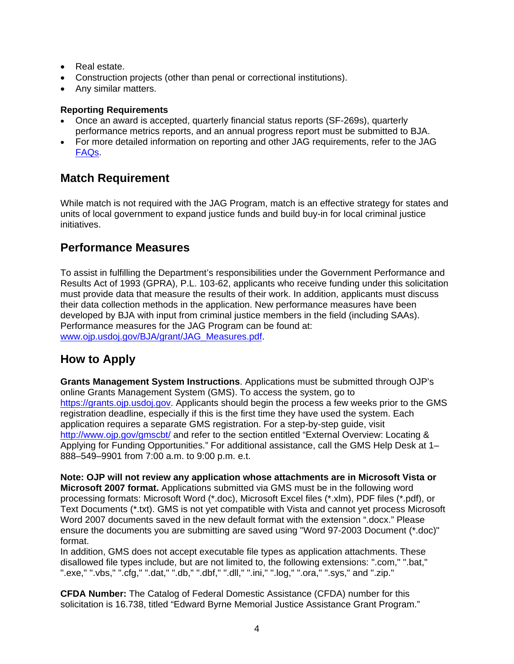- Real estate.
- Construction projects (other than penal or correctional institutions).
- Any similar matters.

#### **Reporting Requirements**

- Once an award is accepted, quarterly financial status reports (SF-269s), quarterly performance metrics reports, and an annual progress report must be submitted to BJA.
- For more detailed information on reporting and other JAG requirements, refer to the JAG [FAQs](http://www.ojp.usdoj.gov/BJA/grant/09JAGFAQ.pdf).

## **Match Requirement**

While match is not required with the JAG Program, match is an effective strategy for states and units of local government to expand justice funds and build buy-in for local criminal justice initiatives.

## **Performance Measures**

To assist in fulfilling the Department's responsibilities under the Government Performance and Results Act of 1993 (GPRA), P.L. 103-62, applicants who receive funding under this solicitation must provide data that measure the results of their work. In addition, applicants must discuss their data collection methods in the application. New performance measures have been developed by BJA with input from criminal justice members in the field (including SAAs). Performance measures for the JAG Program can be found at: [www.ojp.usdoj.gov/BJA/grant/JAG\\_Measures.pdf](http://www.ojp.usdoj.gov/BJA/grant/JAG_Measures.pdf).

## **How to Apply**

**Grants Management System Instructions**. Applications must be submitted through OJP's online Grants Management System (GMS). To access the system, go to [https://grants.ojp.usdoj.gov](https://grants.ojp.usdoj.gov/). Applicants should begin the process a few weeks prior to the GMS registration deadline, especially if this is the first time they have used the system. Each application requires a separate GMS registration. For a step-by-step guide, visit <http://www.ojp.gov/gmscbt/> and refer to the section entitled "External Overview: Locating & Applying for Funding Opportunities." For additional assistance, call the GMS Help Desk at 1– 888–549–9901 from 7:00 a.m. to 9:00 p.m. e.t.

**Note: OJP will not review any application whose attachments are in Microsoft Vista or Microsoft 2007 format.** Applications submitted via GMS must be in the following word processing formats: Microsoft Word (\*.doc), Microsoft Excel files (\*.xlm), PDF files (\*.pdf), or Text Documents (\*.txt). GMS is not yet compatible with Vista and cannot yet process Microsoft Word 2007 documents saved in the new default format with the extension ".docx." Please ensure the documents you are submitting are saved using "Word 97-2003 Document (\*.doc)" format.

In addition, GMS does not accept executable file types as application attachments. These disallowed file types include, but are not limited to, the following extensions: ".com," ".bat," ".exe," ".vbs," ".cfg," ".dat," ".db," ".dbf," ".dll," ".ini," ".log," ".ora," ".sys," and ".zip."

**CFDA Number:** The Catalog of Federal Domestic Assistance (CFDA) number for this solicitation is 16.738, titled "Edward Byrne Memorial Justice Assistance Grant Program."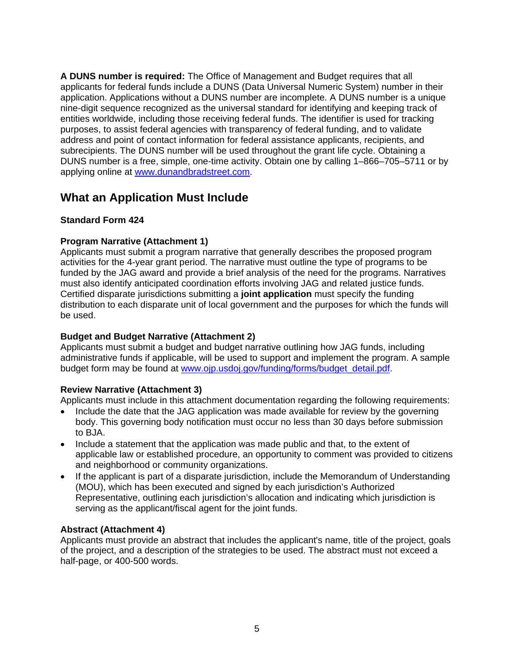**A DUNS number is required:** The Office of Management and Budget requires that all applicants for federal funds include a DUNS (Data Universal Numeric System) number in their application. Applications without a DUNS number are incomplete. A DUNS number is a unique nine-digit sequence recognized as the universal standard for identifying and keeping track of entities worldwide, including those receiving federal funds. The identifier is used for tracking purposes, to assist federal agencies with transparency of federal funding, and to validate address and point of contact information for federal assistance applicants, recipients, and subrecipients. The DUNS number will be used throughout the grant life cycle. Obtaining a DUNS number is a free, simple, one-time activity. Obtain one by calling 1–866–705–5711 or by applying online at [www.dunandbradstreet.com.](http://www.dunandbradstreet.com/)

## **What an Application Must Include**

### **Standard Form 424**

### **Program Narrative (Attachment 1)**

Applicants must submit a program narrative that generally describes the proposed program activities for the 4-year grant period. The narrative must outline the type of programs to be funded by the JAG award and provide a brief analysis of the need for the programs. Narratives must also identify anticipated coordination efforts involving JAG and related justice funds. Certified disparate jurisdictions submitting a **joint application** must specify the funding distribution to each disparate unit of local government and the purposes for which the funds will be used.

### **Budget and Budget Narrative (Attachment 2)**

Applicants must submit a budget and budget narrative outlining how JAG funds, including administrative funds if applicable, will be used to support and implement the program. A sample budget form may be found at [www.ojp.usdoj.gov/funding/forms/budget\\_detail.pdf.](http://www.ojp.usdoj.gov/funding/forms/budget_detail.pdf)

### **Review Narrative (Attachment 3)**

Applicants must include in this attachment documentation regarding the following requirements:

- Include the date that the JAG application was made available for review by the governing body. This governing body notification must occur no less than 30 days before submission to BJA.
- Include a statement that the application was made public and that, to the extent of applicable law or established procedure, an opportunity to comment was provided to citizens and neighborhood or community organizations.
- If the applicant is part of a disparate jurisdiction, include the Memorandum of Understanding (MOU), which has been executed and signed by each jurisdiction's Authorized Representative, outlining each jurisdiction's allocation and indicating which jurisdiction is serving as the applicant/fiscal agent for the joint funds.

### **Abstract (Attachment 4)**

Applicants must provide an abstract that includes the applicant's name, title of the project, goals of the project, and a description of the strategies to be used. The abstract must not exceed a half-page, or 400-500 words.